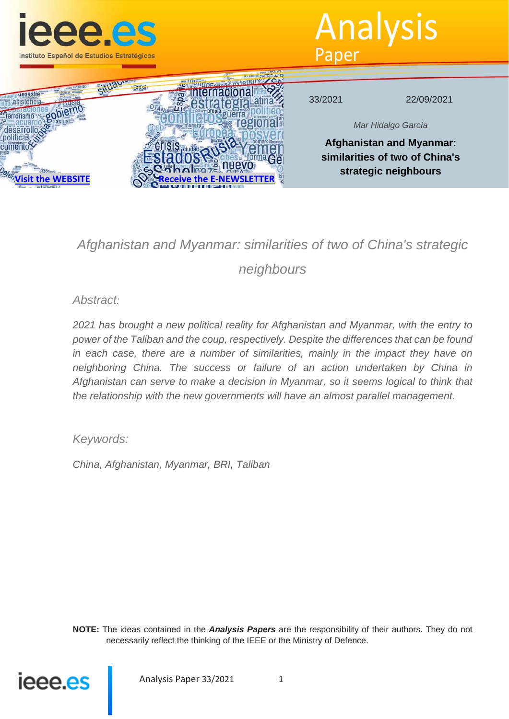

Analysis Paper



# *Afghanistan and Myanmar: similarities of two of China's strategic neighbours*

*Abstract:*

*2021 has brought a new political reality for Afghanistan and Myanmar, with the entry to power of the Taliban and the coup, respectively. Despite the differences that can be found in each case, there are a number of similarities, mainly in the impact they have on neighboring China. The success or failure of an action undertaken by China in Afghanistan can serve to make a decision in Myanmar, so it seems logical to think that the relationship with the new governments will have an almost parallel management.* 

*Keywords:*

*China, Afghanistan, Myanmar, BRI, Taliban*

**NOTE:** The ideas contained in the *Analysis Papers* are the responsibility of their authors. They do not necessarily reflect the thinking of the IEEE or the Ministry of Defence.



Analysis Paper 33/2021 1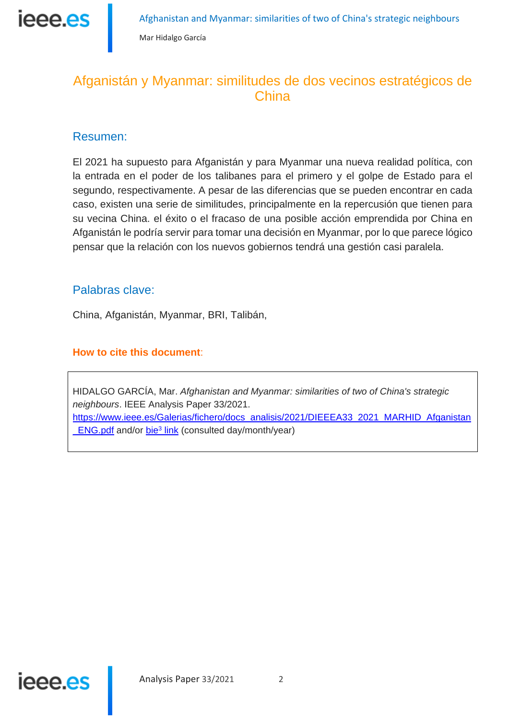ieee.es

# Afganistán y Myanmar: similitudes de dos vecinos estratégicos de **China**

## Resumen:

El 2021 ha supuesto para Afganistán y para Myanmar una nueva realidad política, con la entrada en el poder de los talibanes para el primero y el golpe de Estado para el segundo, respectivamente. A pesar de las diferencias que se pueden encontrar en cada caso, existen una serie de similitudes, principalmente en la repercusión que tienen para su vecina China. el éxito o el fracaso de una posible acción emprendida por China en Afganistán le podría servir para tomar una decisión en Myanmar, por lo que parece lógico pensar que la relación con los nuevos gobiernos tendrá una gestión casi paralela.

## Palabras clave:

China, Afganistán, Myanmar, BRI, Talibán,

### **How to cite this document**:

HIDALGO GARCÍA, Mar. *Afghanistan and Myanmar: similarities of two of China's strategic neighbours*. IEEE Analysis Paper 33/2021. https://www.ieee.es/Galerias/fichero/docs\_analisis/2021/DIEEEA33\_2021\_MARHID\_Afganistan **ENG.pdf and/or bie<sup>3</sup> link (consulted day/month/year)** 

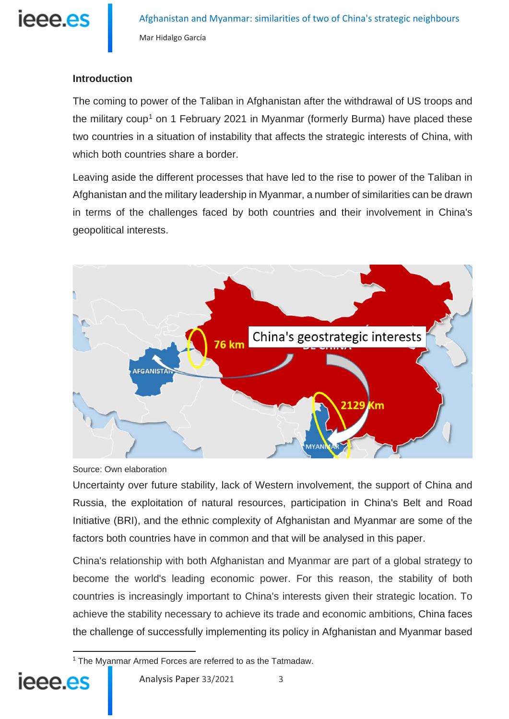

#### **Introduction**

The coming to power of the Taliban in Afghanistan after the withdrawal of US troops and the military coup<sup>[1](#page-2-0)</sup> on 1 February 2021 in Myanmar (formerly Burma) have placed these two countries in a situation of instability that affects the strategic interests of China, with which both countries share a border.

Leaving aside the different processes that have led to the rise to power of the Taliban in Afghanistan and the military leadership in Myanmar, a number of similarities can be drawn in terms of the challenges faced by both countries and their involvement in China's geopolitical interests.



Source: Own elaboration

Uncertainty over future stability, lack of Western involvement, the support of China and Russia, the exploitation of natural resources, participation in China's Belt and Road Initiative (BRI), and the ethnic complexity of Afghanistan and Myanmar are some of the factors both countries have in common and that will be analysed in this paper.

China's relationship with both Afghanistan and Myanmar are part of a global strategy to become the world's leading economic power. For this reason, the stability of both countries is increasingly important to China's interests given their strategic location. To achieve the stability necessary to achieve its trade and economic ambitions, China faces the challenge of successfully implementing its policy in Afghanistan and Myanmar based

<span id="page-2-0"></span> $\overline{a}$ <sup>1</sup> The Myanmar Armed Forces are referred to as the Tatmadaw.

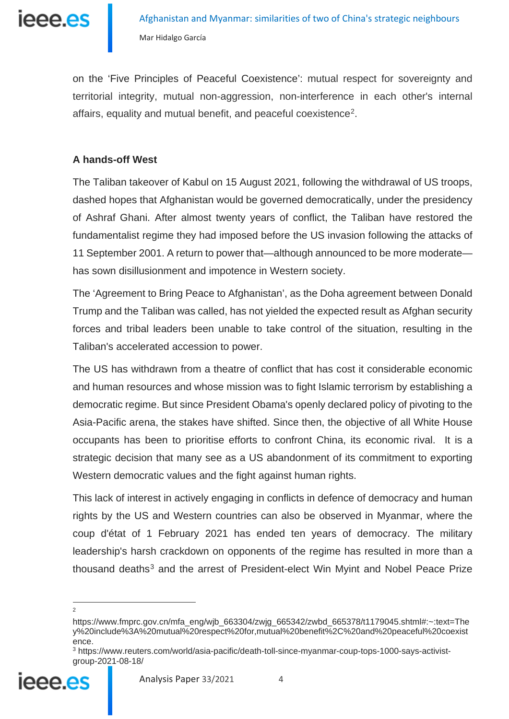

on the 'Five Principles of Peaceful Coexistence': mutual respect for sovereignty and territorial integrity, mutual non-aggression, non-interference in each other's internal affairs, equality and mutual benefit, and peaceful coexistence[2.](#page-3-0)

#### **A hands-off West**

The Taliban takeover of Kabul on 15 August 2021, following the withdrawal of US troops, dashed hopes that Afghanistan would be governed democratically, under the presidency of Ashraf Ghani. After almost twenty years of conflict, the Taliban have restored the fundamentalist regime they had imposed before the US invasion following the attacks of 11 September 2001. A return to power that—although announced to be more moderate has sown disillusionment and impotence in Western society.

The 'Agreement to Bring Peace to Afghanistan', as the Doha agreement between Donald Trump and the Taliban was called, has not yielded the expected result as Afghan security forces and tribal leaders been unable to take control of the situation, resulting in the Taliban's accelerated accession to power.

The US has withdrawn from a theatre of conflict that has cost it considerable economic and human resources and whose mission was to fight Islamic terrorism by establishing a democratic regime. But since President Obama's openly declared policy of pivoting to the Asia-Pacific arena, the stakes have shifted. Since then, the objective of all White House occupants has been to prioritise efforts to confront China, its economic rival. It is a strategic decision that many see as a US abandonment of its commitment to exporting Western democratic values and the fight against human rights.

This lack of interest in actively engaging in conflicts in defence of democracy and human rights by the US and Western countries can also be observed in Myanmar, where the coup d'état of 1 February 2021 has ended ten years of democracy. The military leadership's harsh crackdown on opponents of the regime has resulted in more than a thousand deaths<sup>[3](#page-3-1)</sup> and the arrest of President-elect Win Myint and Nobel Peace Prize

<span id="page-3-1"></span><span id="page-3-0"></span><sup>3</sup> https://www.reuters.com/world/asia-pacific/death-toll-since-myanmar-coup-tops-1000-says-activistgroup-2021-08-18/



https://www.fmprc.gov.cn/mfa\_eng/wjb\_663304/zwjg\_665342/zwbd\_665378/t1179045.shtml#:~:text=The y%20include%3A%20mutual%20respect%20for,mutual%20benefit%2C%20and%20peaceful%20coexist ence.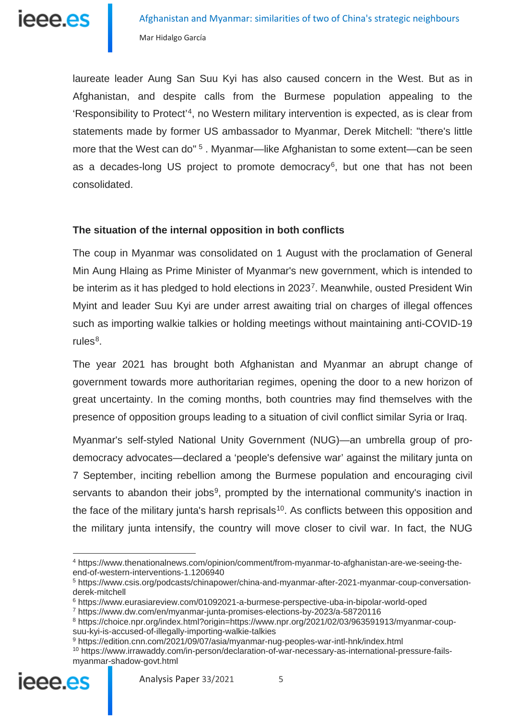

laureate leader Aung San Suu Kyi has also caused concern in the West. But as in Afghanistan, and despite calls from the Burmese population appealing to the 'Responsibility to Protect'[4](#page-4-0), no Western military intervention is expected, as is clear from statements made by former US ambassador to Myanmar, Derek Mitchell: "there's little more that the West can do"<sup>[5](#page-4-1)</sup>. Myanmar—like Afghanistan to some extent—can be seen as a decades-long US project to promote democracy<sup>6</sup>, but one that has not been consolidated.

#### **The situation of the internal opposition in both conflicts**

The coup in Myanmar was consolidated on 1 August with the proclamation of General Min Aung Hlaing as Prime Minister of Myanmar's new government, which is intended to be interim as it has pledged to hold elections in 2023<sup>7</sup>. Meanwhile, ousted President Win Myint and leader Suu Kyi are under arrest awaiting trial on charges of illegal offences such as importing walkie talkies or holding meetings without maintaining anti-COVID-19 rules $8$ .

The year 2021 has brought both Afghanistan and Myanmar an abrupt change of government towards more authoritarian regimes, opening the door to a new horizon of great uncertainty. In the coming months, both countries may find themselves with the presence of opposition groups leading to a situation of civil conflict similar Syria or Iraq.

Myanmar's self-styled National Unity Government (NUG)—an umbrella group of prodemocracy advocates—declared a 'people's defensive war' against the military junta on 7 September, inciting rebellion among the Burmese population and encouraging civil servants to abandon their jobs<sup>[9](#page-4-5)</sup>, prompted by the international community's inaction in the face of the military junta's harsh reprisals<sup>10</sup>. As conflicts between this opposition and the military junta intensify, the country will move closer to civil war. In fact, the NUG

<span id="page-4-6"></span><span id="page-4-5"></span><span id="page-4-4"></span><span id="page-4-3"></span><span id="page-4-2"></span><span id="page-4-1"></span><sup>10</sup> https://www.irrawaddy.com/in-person/declaration-of-war-necessary-as-international-pressure-failsmyanmar-shadow-govt.html



<span id="page-4-0"></span><sup>4</sup> https://www.thenationalnews.com/opinion/comment/from-myanmar-to-afghanistan-are-we-seeing-theend-of-western-interventions-1.1206940

<sup>5</sup> https://www.csis.org/podcasts/chinapower/china-and-myanmar-after-2021-myanmar-coup-conversationderek-mitchell

<sup>6</sup> https://www.eurasiareview.com/01092021-a-burmese-perspective-uba-in-bipolar-world-oped

<sup>7</sup> https://www.dw.com/en/myanmar-junta-promises-elections-by-2023/a-58720116

<sup>8</sup> https://choice.npr.org/index.html?origin=https://www.npr.org/2021/02/03/963591913/myanmar-coupsuu-kyi-is-accused-of-illegally-importing-walkie-talkies

<sup>9</sup> https://edition.cnn.com/2021/09/07/asia/myanmar-nug-peoples-war-intl-hnk/index.html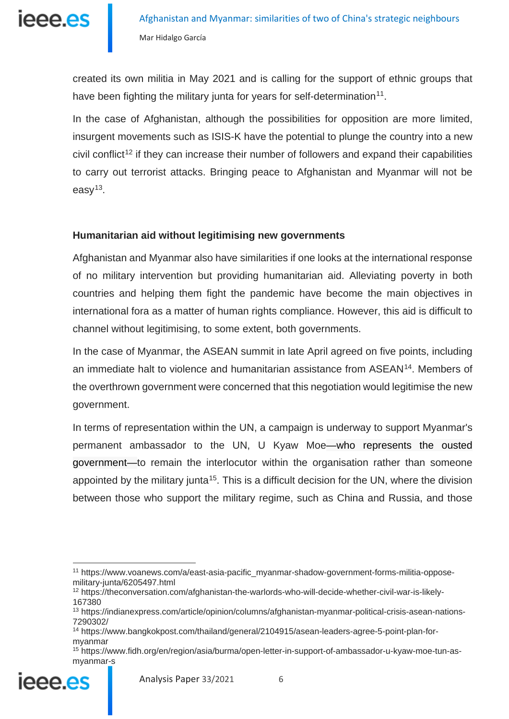

created its own militia in May 2021 and is calling for the support of ethnic groups that have been fighting the military junta for years for self-determination<sup>[11](#page-5-0)</sup>.

In the case of Afghanistan, although the possibilities for opposition are more limited. insurgent movements such as ISIS-K have the potential to plunge the country into a new civil conflict<sup>[12](#page-5-1)</sup> if they can increase their number of followers and expand their capabilities to carry out terrorist attacks. Bringing peace to Afghanistan and Myanmar will not be easy<sup>13</sup>.

#### **Humanitarian aid without legitimising new governments**

Afghanistan and Myanmar also have similarities if one looks at the international response of no military intervention but providing humanitarian aid. Alleviating poverty in both countries and helping them fight the pandemic have become the main objectives in international fora as a matter of human rights compliance. However, this aid is difficult to channel without legitimising, to some extent, both governments.

In the case of Myanmar, the ASEAN summit in late April agreed on five points, including an immediate halt to violence and humanitarian assistance from ASEAN<sup>14</sup>. Members of the overthrown government were concerned that this negotiation would legitimise the new government.

In terms of representation within the UN, a campaign is underway to support Myanmar's permanent ambassador to the UN, U Kyaw Moe—who represents the ousted government—to remain the interlocutor within the organisation rather than someone appointed by the military junta<sup>15</sup>. This is a difficult decision for the UN, where the division between those who support the military regime, such as China and Russia, and those

<span id="page-5-4"></span><span id="page-5-3"></span><span id="page-5-2"></span><span id="page-5-1"></span><sup>15</sup> https://www.fidh.org/en/region/asia/burma/open-letter-in-support-of-ambassador-u-kyaw-moe-tun-asmyanmar-s



<span id="page-5-0"></span> $\overline{a}$ <sup>11</sup> https://www.voanews.com/a/east-asia-pacific\_myanmar-shadow-government-forms-militia-opposemilitary-junta/6205497.html

<sup>12</sup> https://theconversation.com/afghanistan-the-warlords-who-will-decide-whether-civil-war-is-likely-167380

<sup>13</sup> https://indianexpress.com/article/opinion/columns/afghanistan-myanmar-political-crisis-asean-nations-7290302/

<sup>14</sup> https://www.bangkokpost.com/thailand/general/2104915/asean-leaders-agree-5-point-plan-formyanmar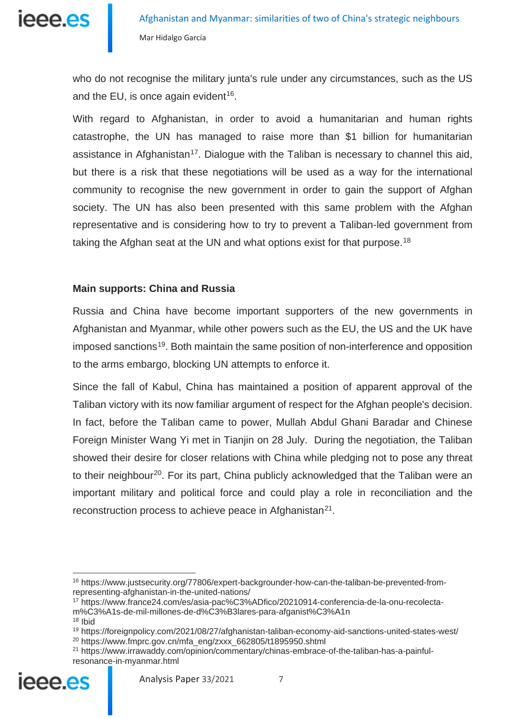

who do not recognise the military junta's rule under any circumstances, such as the US and the EU, is once again evident<sup>16</sup>.

With regard to Afghanistan, in order to avoid a humanitarian and human rights catastrophe, the UN has managed to raise more than \$1 billion for humanitarian assistance in Afghanistan<sup>17</sup>. Dialogue with the Taliban is necessary to channel this aid, but there is a risk that these negotiations will be used as a way for the international community to recognise the new government in order to gain the support of Afghan society. The UN has also been presented with this same problem with the Afghan representative and is considering how to try to prevent a Taliban-led government from taking the Afghan seat at the UN and what options exist for that purpose.<sup>[18](#page-6-2)</sup>

#### **Main supports: China and Russia**

Russia and China have become important supporters of the new governments in Afghanistan and Myanmar, while other powers such as the EU, the US and the UK have imposed sanctions<sup>[19](#page-6-3)</sup>. Both maintain the same position of non-interference and opposition to the arms embargo, blocking UN attempts to enforce it.

Since the fall of Kabul, China has maintained a position of apparent approval of the Taliban victory with its now familiar argument of respect for the Afghan people's decision. In fact, before the Taliban came to power, Mullah Abdul Ghani Baradar and Chinese Foreign Minister Wang Yi met in Tianjin on 28 July. During the negotiation, the Taliban showed their desire for closer relations with China while pledging not to pose any threat to their neighbour<sup>[20](#page-6-4)</sup>. For its part, China publicly acknowledged that the Taliban were an important military and political force and could play a role in reconciliation and the reconstruction process to achieve peace in Afghanistan<sup>21</sup>.

<span id="page-6-0"></span><sup>16</sup> https://www.justsecurity.org/77806/expert-backgrounder-how-can-the-taliban-be-prevented-fromrepresenting-afghanistan-in-the-united-nations/

<span id="page-6-1"></span><sup>17</sup> https://www.france24.com/es/asia-pac%C3%ADfico/20210914-conferencia-de-la-onu-recolectam%C3%A1s-de-mil-millones-de-d%C3%B3lares-para-afganist%C3%A1n

<sup>18</sup> Ibid

<span id="page-6-3"></span><span id="page-6-2"></span><sup>19</sup> https://foreignpolicy.com/2021/08/27/afghanistan-taliban-economy-aid-sanctions-united-states-west/  $20$  https://www.fmprc.gov.cn/mfa\_eng/zxxx\_662805/t1895950.shtml

<span id="page-6-5"></span><span id="page-6-4"></span><sup>21</sup> https://www.irrawaddy.com/opinion/commentary/chinas-embrace-of-the-taliban-has-a-painfulresonance-in-myanmar.html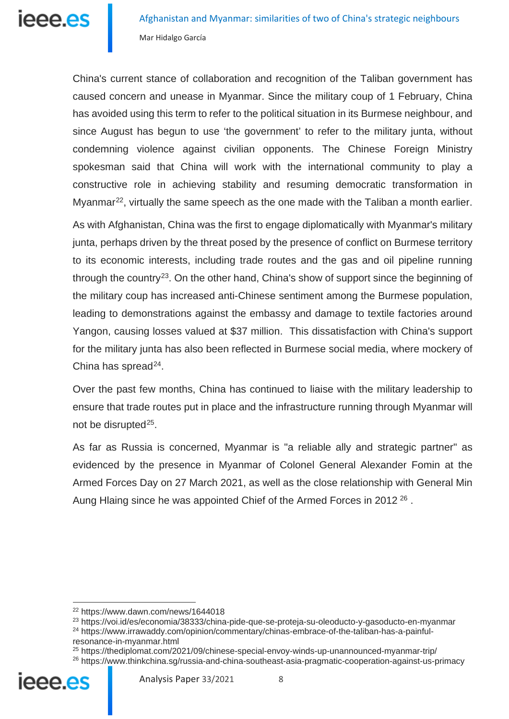China's current stance of collaboration and recognition of the Taliban government has caused concern and unease in Myanmar. Since the military coup of 1 February, China has avoided using this term to refer to the political situation in its Burmese neighbour, and since August has begun to use 'the government' to refer to the military junta, without condemning violence against civilian opponents. The Chinese Foreign Ministry spokesman said that China will work with the international community to play a constructive role in achieving stability and resuming democratic transformation in Myanmar<sup>[22](#page-7-0)</sup>, virtually the same speech as the one made with the Taliban a month earlier.

As with Afghanistan, China was the first to engage diplomatically with Myanmar's military junta, perhaps driven by the threat posed by the presence of conflict on Burmese territory to its economic interests, including trade routes and the gas and oil pipeline running through the country<sup>[23](#page-7-1)</sup>. On the other hand, China's show of support since the beginning of the military coup has increased anti-Chinese sentiment among the Burmese population, leading to demonstrations against the embassy and damage to textile factories around Yangon, causing losses valued at \$37 million. This dissatisfaction with China's support for the military junta has also been reflected in Burmese social media, where mockery of China has spread $^{24}$ .

Over the past few months, China has continued to liaise with the military leadership to ensure that trade routes put in place and the infrastructure running through Myanmar will not be disrupted<sup>25</sup>.

As far as Russia is concerned, Myanmar is "a reliable ally and strategic partner" as evidenced by the presence in Myanmar of Colonel General Alexander Fomin at the Armed Forces Day on 27 March 2021, as well as the close relationship with General Min Aung Hlaing since he was appointed Chief of the Armed Forces in 2012<sup>[26](#page-7-4)</sup>.

<span id="page-7-4"></span><span id="page-7-3"></span><span id="page-7-2"></span><span id="page-7-1"></span><span id="page-7-0"></span><sup>&</sup>lt;sup>26</sup> https://www.thinkchina.sg/russia-and-china-southeast-asia-pragmatic-cooperation-against-us-primacy



<sup>22</sup> https://www.dawn.com/news/1644018

<sup>23</sup> https://voi.id/es/economia/38333/china-pide-que-se-proteja-su-oleoducto-y-gasoducto-en-myanmar

<sup>24</sup> https://www.irrawaddy.com/opinion/commentary/chinas-embrace-of-the-taliban-has-a-painfulresonance-in-myanmar.html

<sup>25</sup> https://thediplomat.com/2021/09/chinese-special-envoy-winds-up-unannounced-myanmar-trip/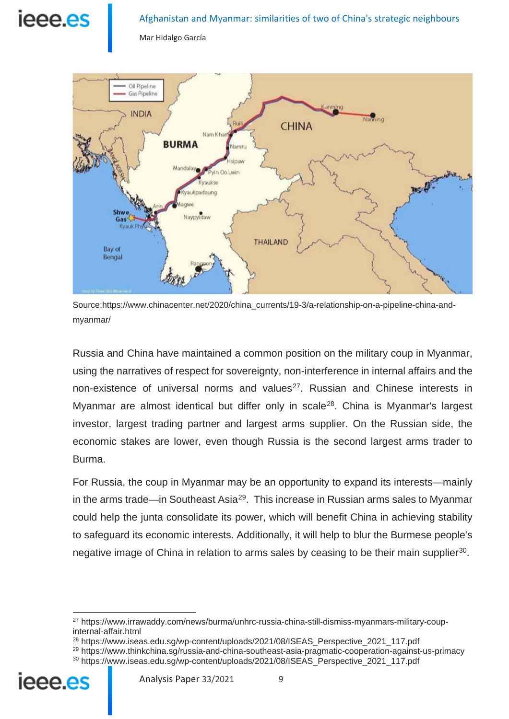# ieee.es

#### Afghanistan and Myanmar: similarities of two of China's strategic neighbours

Mar Hidalgo García



Source:https://www.chinacenter.net/2020/china\_currents/19-3/a-relationship-on-a-pipeline-china-andmyanmar/

Russia and China have maintained a common position on the military coup in Myanmar, using the narratives of respect for sovereignty, non-interference in internal affairs and the non-existence of universal norms and values<sup>[27](#page-8-0)</sup>. Russian and Chinese interests in Myanmar are almost identical but differ only in scale<sup>[28](#page-8-1)</sup>. China is Myanmar's largest investor, largest trading partner and largest arms supplier. On the Russian side, the economic stakes are lower, even though Russia is the second largest arms trader to Burma.

For Russia, the coup in Myanmar may be an opportunity to expand its interests—mainly in the arms trade—in Southeast Asia<sup>29</sup>. This increase in Russian arms sales to Myanmar could help the junta consolidate its power, which will benefit China in achieving stability to safeguard its economic interests. Additionally, it will help to blur the Burmese people's negative image of China in relation to arms sales by ceasing to be their main supplier<sup>[30](#page-8-3)</sup>.

<span id="page-8-3"></span><span id="page-8-2"></span><span id="page-8-1"></span><sup>&</sup>lt;sup>29</sup> https://www.thinkchina.sg/russia-and-china-southeast-asia-pragmatic-cooperation-against-us-primacy <sup>30</sup> https://www.iseas.edu.sg/wp-content/uploads/2021/08/ISEAS\_Perspective\_2021\_117.pdf



<span id="page-8-0"></span><sup>27</sup> https://www.irrawaddy.com/news/burma/unhrc-russia-china-still-dismiss-myanmars-military-coupinternal-affair.html

<sup>&</sup>lt;sup>28</sup> https://www.iseas.edu.sg/wp-content/uploads/2021/08/ISEAS\_Perspective\_2021\_117.pdf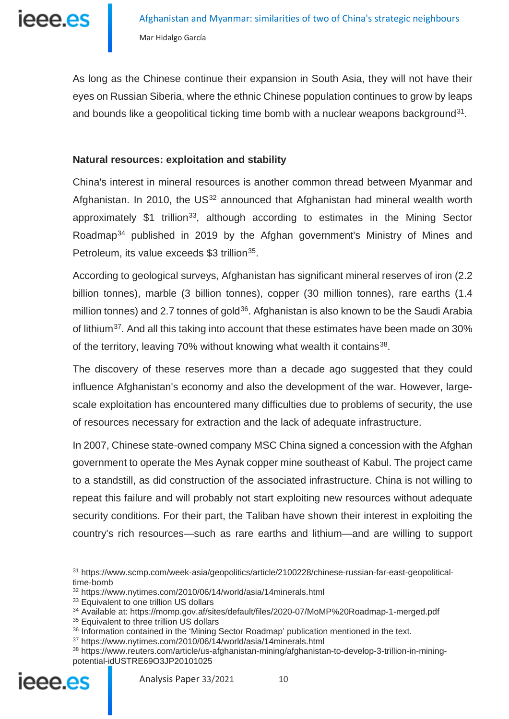

As long as the Chinese continue their expansion in South Asia, they will not have their eyes on Russian Siberia, where the ethnic Chinese population continues to grow by leaps and bounds like a geopolitical ticking time bomb with a nuclear weapons background<sup>[31](#page-9-0)</sup>.

#### **Natural resources: exploitation and stability**

China's interest in mineral resources is another common thread between Myanmar and Afghanistan. In 2010, the  $US^{32}$  $US^{32}$  $US^{32}$  announced that Afghanistan had mineral wealth worth approximately  $$1$  trillion<sup>33</sup>, although according to estimates in the Mining Sector Roadmap<sup>[34](#page-9-3)</sup> published in 2019 by the Afghan government's Ministry of Mines and Petroleum, its value exceeds \$3 trillion<sup>[35](#page-9-4)</sup>.

According to geological surveys, Afghanistan has significant mineral reserves of iron (2.2 billion tonnes), marble (3 billion tonnes), copper (30 million tonnes), rare earths (1.4 million tonnes) and 2.7 tonnes of gold<sup>[36](#page-9-5)</sup>. Afghanistan is also known to be the Saudi Arabia of lithium<sup>[37](#page-9-6)</sup>. And all this taking into account that these estimates have been made on 30% of the territory, leaving 70% without knowing what wealth it contains<sup>[38](#page-9-7)</sup>.

The discovery of these reserves more than a decade ago suggested that they could influence Afghanistan's economy and also the development of the war. However, largescale exploitation has encountered many difficulties due to problems of security, the use of resources necessary for extraction and the lack of adequate infrastructure.

In 2007, Chinese state-owned company MSC China signed a concession with the Afghan government to operate the Mes Aynak copper mine southeast of Kabul. The project came to a standstill, as did construction of the associated infrastructure. China is not willing to repeat this failure and will probably not start exploiting new resources without adequate security conditions. For their part, the Taliban have shown their interest in exploiting the country's rich resources—such as rare earths and lithium—and are willing to support

<span id="page-9-0"></span><sup>31</sup> https://www.scmp.com/week-asia/geopolitics/article/2100228/chinese-russian-far-east-geopoliticaltime-bomb

<span id="page-9-1"></span><sup>32</sup> https://www.nytimes.com/2010/06/14/world/asia/14minerals.html

<span id="page-9-2"></span><sup>&</sup>lt;sup>33</sup> Equivalent to one trillion US dollars

<span id="page-9-3"></span><sup>34</sup> Available at: https://momp.gov.af/sites/default/files/2020-07/MoMP%20Roadmap-1-merged.pdf

<span id="page-9-4"></span><sup>&</sup>lt;sup>35</sup> Equivalent to three trillion US dollars

<span id="page-9-5"></span><sup>&</sup>lt;sup>36</sup> Information contained in the 'Mining Sector Roadmap' publication mentioned in the text.

<sup>37</sup> https://www.nytimes.com/2010/06/14/world/asia/14minerals.html

<span id="page-9-7"></span><span id="page-9-6"></span><sup>38</sup> https://www.reuters.com/article/us-afghanistan-mining/afghanistan-to-develop-3-trillion-in-miningpotential-idUSTRE69O3JP20101025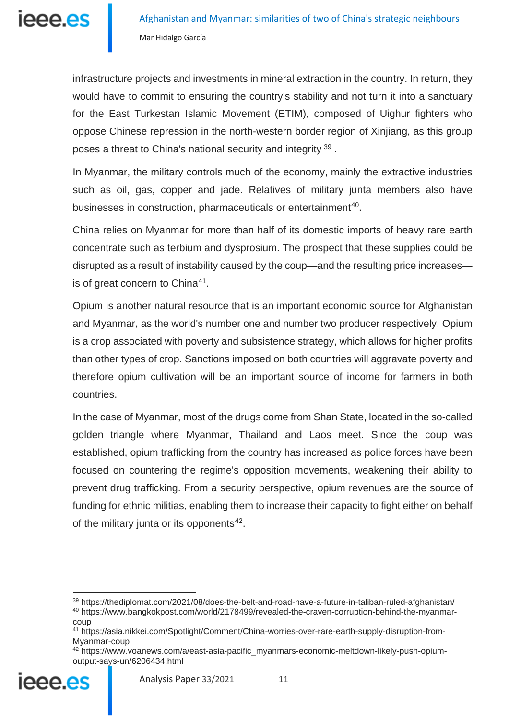

infrastructure projects and investments in mineral extraction in the country. In return, they would have to commit to ensuring the country's stability and not turn it into a sanctuary for the East Turkestan Islamic Movement (ETIM), composed of Uighur fighters who oppose Chinese repression in the north-western border region of Xinjiang, as this group poses a threat to China's national security and integrity [39](#page-10-0).

In Myanmar, the military controls much of the economy, mainly the extractive industries such as oil, gas, copper and jade. Relatives of military junta members also have businesses in construction, pharmaceuticals or entertainment<sup>[40](#page-10-1)</sup>.

China relies on Myanmar for more than half of its domestic imports of heavy rare earth concentrate such as terbium and dysprosium. The prospect that these supplies could be disrupted as a result of instability caused by the coup—and the resulting price increases— is of great concern to China<sup>[41](#page-10-2)</sup>.

Opium is another natural resource that is an important economic source for Afghanistan and Myanmar, as the world's number one and number two producer respectively. Opium is a crop associated with poverty and subsistence strategy, which allows for higher profits than other types of crop. Sanctions imposed on both countries will aggravate poverty and therefore opium cultivation will be an important source of income for farmers in both countries.

In the case of Myanmar, most of the drugs come from Shan State, located in the so-called golden triangle where Myanmar, Thailand and Laos meet. Since the coup was established, opium trafficking from the country has increased as police forces have been focused on countering the regime's opposition movements, weakening their ability to prevent drug trafficking. From a security perspective, opium revenues are the source of funding for ethnic militias, enabling them to increase their capacity to fight either on behalf of the military junta or its opponents $42$ .

<span id="page-10-3"></span><span id="page-10-2"></span><span id="page-10-1"></span><span id="page-10-0"></span><sup>42</sup> https://www.voanews.com/a/east-asia-pacific\_myanmars-economic-meltdown-likely-push-opiumoutput-says-un/6206434.html



<sup>39</sup> https://thediplomat.com/2021/08/does-the-belt-and-road-have-a-future-in-taliban-ruled-afghanistan/ <sup>40</sup> https://www.bangkokpost.com/world/2178499/revealed-the-craven-corruption-behind-the-myanmar-

coup

<sup>41</sup> https://asia.nikkei.com/Spotlight/Comment/China-worries-over-rare-earth-supply-disruption-from-Myanmar-coup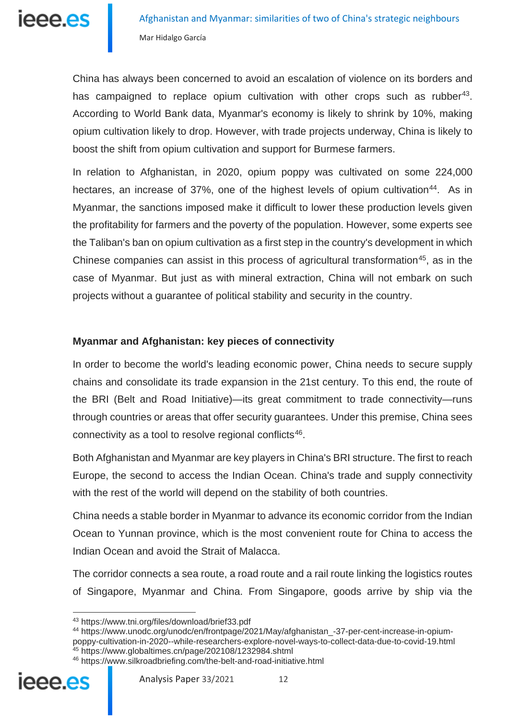

China has always been concerned to avoid an escalation of violence on its borders and has campaigned to replace opium cultivation with other crops such as rubber<sup>[43](#page-11-0)</sup>. According to World Bank data, Myanmar's economy is likely to shrink by 10%, making opium cultivation likely to drop. However, with trade projects underway, China is likely to boost the shift from opium cultivation and support for Burmese farmers.

In relation to Afghanistan, in 2020, opium poppy was cultivated on some 224,000 hectares, an increase of 37%, one of the highest levels of opium cultivation<sup>[44](#page-11-1)</sup>. As in Myanmar, the sanctions imposed make it difficult to lower these production levels given the profitability for farmers and the poverty of the population. However, some experts see the Taliban's ban on opium cultivation as a first step in the country's development in which Chinese companies can assist in this process of agricultural transformation<sup>45</sup>, as in the case of Myanmar. But just as with mineral extraction, China will not embark on such projects without a guarantee of political stability and security in the country.

#### **Myanmar and Afghanistan: key pieces of connectivity**

In order to become the world's leading economic power, China needs to secure supply chains and consolidate its trade expansion in the 21st century. To this end, the route of the BRI (Belt and Road Initiative)—its great commitment to trade connectivity—runs through countries or areas that offer security guarantees. Under this premise, China sees connectivity as a tool to resolve regional conflicts<sup>[46](#page-11-3)</sup>.

Both Afghanistan and Myanmar are key players in China's BRI structure. The first to reach Europe, the second to access the Indian Ocean. China's trade and supply connectivity with the rest of the world will depend on the stability of both countries.

China needs a stable border in Myanmar to advance its economic corridor from the Indian Ocean to Yunnan province, which is the most convenient route for China to access the Indian Ocean and avoid the Strait of Malacca.

The corridor connects a sea route, a road route and a rail route linking the logistics routes of Singapore, Myanmar and China. From Singapore, goods arrive by ship via the

<sup>43</sup> https://www.tni.org/files/download/brief33.pdf

<span id="page-11-1"></span><span id="page-11-0"></span><sup>44</sup> https://www.unodc.org/unodc/en/frontpage/2021/May/afghanistan\_-37-per-cent-increase-in-opiumpoppy-cultivation-in-2020--while-researchers-explore-novel-ways-to-collect-data-due-to-covid-19.html

<sup>45</sup> https://www.globaltimes.cn/page/202108/1232984.shtml

<span id="page-11-3"></span><span id="page-11-2"></span><sup>46</sup> https://www.silkroadbriefing.com/the-belt-and-road-initiative.html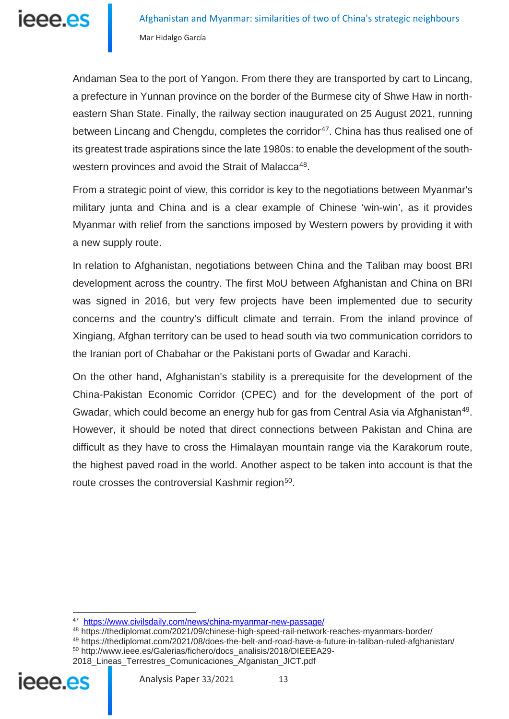

Afghanistan and Myanmar: similarities of two of China's strategic neighbours Mar Hidalgo García

Andaman Sea to the port of Yangon. From there they are transported by cart to Lincang, a prefecture in Yunnan province on the border of the Burmese city of Shwe Haw in northeastern Shan State. Finally, the railway section inaugurated on 25 August 2021, running between Lincang and Chengdu, completes the corridor<sup>[47](#page-12-0)</sup>. China has thus realised one of its greatest trade aspirations since the late 1980s: to enable the development of the south-western provinces and avoid the Strait of Malacca<sup>[48](#page-12-1)</sup>.

From a strategic point of view, this corridor is key to the negotiations between Myanmar's military junta and China and is a clear example of Chinese 'win-win', as it provides Myanmar with relief from the sanctions imposed by Western powers by providing it with a new supply route.

In relation to Afghanistan, negotiations between China and the Taliban may boost BRI development across the country. The first MoU between Afghanistan and China on BRI was signed in 2016, but very few projects have been implemented due to security concerns and the country's difficult climate and terrain. From the inland province of Xingiang, Afghan territory can be used to head south via two communication corridors to the Iranian port of Chabahar or the Pakistani ports of Gwadar and Karachi.

On the other hand, Afghanistan's stability is a prerequisite for the development of the China-Pakistan Economic Corridor (CPEC) and for the development of the port of Gwadar, which could become an energy hub for gas from Central Asia via Afghanistan<sup>[49](#page-12-2)</sup>. However, it should be noted that direct connections between Pakistan and China are difficult as they have to cross the Himalayan mountain range via the Karakorum route, the highest paved road in the world. Another aspect to be taken into account is that the route crosses the controversial Kashmir region<sup>50</sup>.

<sup>50</sup> http://www.ieee.es/Galerias/fichero/docs\_analisis/2018/DIEEEA29-

<span id="page-12-3"></span><span id="page-12-2"></span><span id="page-12-1"></span><span id="page-12-0"></span><sup>2018</sup>\_Lineas\_Terrestres\_Comunicaciones\_Afganistan\_JICT.pdf



<sup>47</sup> <https://www.civilsdaily.com/news/china-myanmar-new-passage/>

<sup>48</sup> https://thediplomat.com/2021/09/chinese-high-speed-rail-network-reaches-myanmars-border/

<sup>49</sup> https://thediplomat.com/2021/08/does-the-belt-and-road-have-a-future-in-taliban-ruled-afghanistan/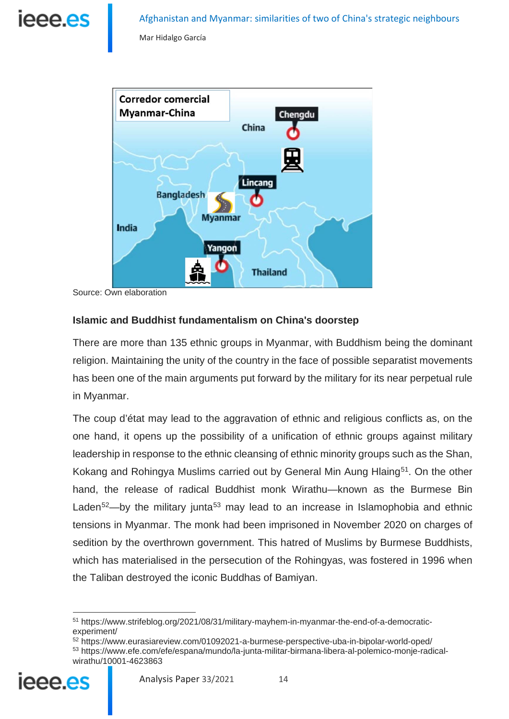

Mar Hidalgo García



Source: Own elaboration

#### **Islamic and Buddhist fundamentalism on China's doorstep**

There are more than 135 ethnic groups in Myanmar, with Buddhism being the dominant religion. Maintaining the unity of the country in the face of possible separatist movements has been one of the main arguments put forward by the military for its near perpetual rule in Myanmar.

The coup d'état may lead to the aggravation of ethnic and religious conflicts as, on the one hand, it opens up the possibility of a unification of ethnic groups against military leadership in response to the ethnic cleansing of ethnic minority groups such as the Shan, Kokang and Rohingya Muslims carried out by General Min Aung Hlaing<sup>51</sup>. On the other hand, the release of radical Buddhist monk Wirathu—known as the Burmese Bin Laden $52$ —by the military junta<sup>[53](#page-13-2)</sup> may lead to an increase in Islamophobia and ethnic tensions in Myanmar. The monk had been imprisoned in November 2020 on charges of sedition by the overthrown government. This hatred of Muslims by Burmese Buddhists, which has materialised in the persecution of the Rohingyas, was fostered in 1996 when the Taliban destroyed the iconic Buddhas of Bamiyan.

<span id="page-13-2"></span><span id="page-13-1"></span><span id="page-13-0"></span><sup>53</sup> https://www.efe.com/efe/espana/mundo/la-junta-militar-birmana-libera-al-polemico-monje-radicalwirathu/10001-4623863



<sup>51</sup> https://www.strifeblog.org/2021/08/31/military-mayhem-in-myanmar-the-end-of-a-democraticexperiment/

<sup>52</sup> https://www.eurasiareview.com/01092021-a-burmese-perspective-uba-in-bipolar-world-oped/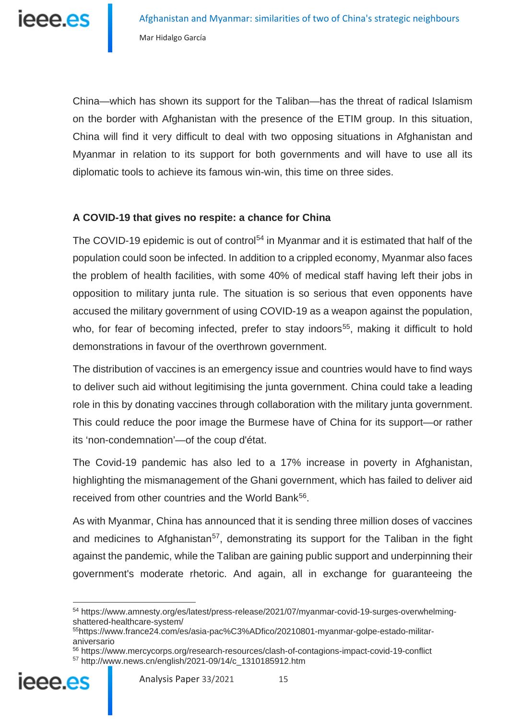China—which has shown its support for the Taliban—has the threat of radical Islamism on the border with Afghanistan with the presence of the ETIM group. In this situation, China will find it very difficult to deal with two opposing situations in Afghanistan and Myanmar in relation to its support for both governments and will have to use all its diplomatic tools to achieve its famous win-win, this time on three sides.

#### **A COVID-19 that gives no respite: a chance for China**

The COVID-19 epidemic is out of control<sup>[54](#page-14-0)</sup> in Myanmar and it is estimated that half of the population could soon be infected. In addition to a crippled economy, Myanmar also faces the problem of health facilities, with some 40% of medical staff having left their jobs in opposition to military junta rule. The situation is so serious that even opponents have accused the military government of using COVID-19 as a weapon against the population, who, for fear of becoming infected, prefer to stay indoors<sup>55</sup>, making it difficult to hold demonstrations in favour of the overthrown government.

The distribution of vaccines is an emergency issue and countries would have to find ways to deliver such aid without legitimising the junta government. China could take a leading role in this by donating vaccines through collaboration with the military junta government. This could reduce the poor image the Burmese have of China for its support—or rather its 'non-condemnation'—of the coup d'état.

The Covid-19 pandemic has also led to a 17% increase in poverty in Afghanistan, highlighting the mismanagement of the Ghani government, which has failed to deliver aid received from other countries and the World Bank<sup>56</sup>.

As with Myanmar, China has announced that it is sending three million doses of vaccines and medicines to Afghanistan<sup>[57](#page-14-3)</sup>, demonstrating its support for the Taliban in the fight against the pandemic, while the Taliban are gaining public support and underpinning their government's moderate rhetoric. And again, all in exchange for guaranteeing the

<span id="page-14-3"></span><span id="page-14-2"></span><span id="page-14-1"></span><span id="page-14-0"></span><sup>56</sup> https://www.mercycorps.org/research-resources/clash-of-contagions-impact-covid-19-conflict <sup>57</sup> http://www.news.cn/english/2021-09/14/c\_1310185912.htm



<sup>54</sup> https://www.amnesty.org/es/latest/press-release/2021/07/myanmar-covid-19-surges-overwhelmingshattered-healthcare-system/

<sup>55</sup>https://www.france24.com/es/asia-pac%C3%ADfico/20210801-myanmar-golpe-estado-militaraniversario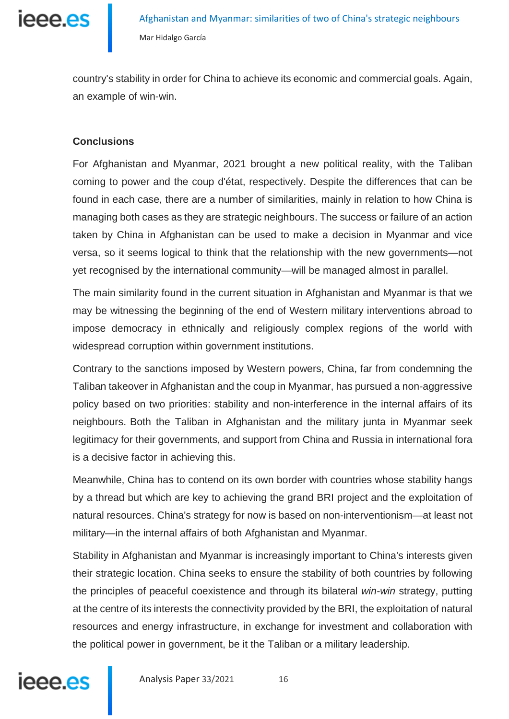

country's stability in order for China to achieve its economic and commercial goals. Again, an example of win-win.

#### **Conclusions**

For Afghanistan and Myanmar, 2021 brought a new political reality, with the Taliban coming to power and the coup d'état, respectively. Despite the differences that can be found in each case, there are a number of similarities, mainly in relation to how China is managing both cases as they are strategic neighbours. The success or failure of an action taken by China in Afghanistan can be used to make a decision in Myanmar and vice versa, so it seems logical to think that the relationship with the new governments—not yet recognised by the international community—will be managed almost in parallel.

The main similarity found in the current situation in Afghanistan and Myanmar is that we may be witnessing the beginning of the end of Western military interventions abroad to impose democracy in ethnically and religiously complex regions of the world with widespread corruption within government institutions.

Contrary to the sanctions imposed by Western powers, China, far from condemning the Taliban takeover in Afghanistan and the coup in Myanmar, has pursued a non-aggressive policy based on two priorities: stability and non-interference in the internal affairs of its neighbours. Both the Taliban in Afghanistan and the military junta in Myanmar seek legitimacy for their governments, and support from China and Russia in international fora is a decisive factor in achieving this.

Meanwhile, China has to contend on its own border with countries whose stability hangs by a thread but which are key to achieving the grand BRI project and the exploitation of natural resources. China's strategy for now is based on non-interventionism—at least not military—in the internal affairs of both Afghanistan and Myanmar.

Stability in Afghanistan and Myanmar is increasingly important to China's interests given their strategic location. China seeks to ensure the stability of both countries by following the principles of peaceful coexistence and through its bilateral *win-win* strategy, putting at the centre of its interests the connectivity provided by the BRI, the exploitation of natural resources and energy infrastructure, in exchange for investment and collaboration with the political power in government, be it the Taliban or a military leadership.